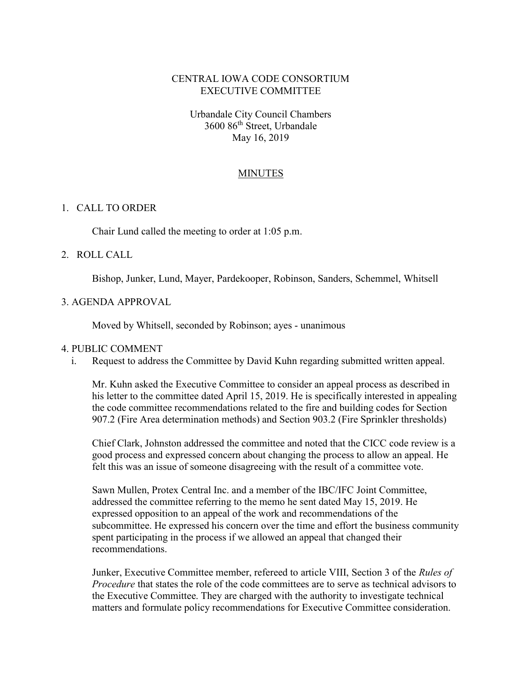## CENTRAL IOWA CODE CONSORTIUM EXECUTIVE COMMITTEE

Urbandale City Council Chambers 3600 86th Street, Urbandale May 16, 2019

### **MINUTES**

#### 1. CALL TO ORDER

Chair Lund called the meeting to order at 1:05 p.m.

### 2. ROLL CALL

Bishop, Junker, Lund, Mayer, Pardekooper, Robinson, Sanders, Schemmel, Whitsell

#### 3. AGENDA APPROVAL

Moved by Whitsell, seconded by Robinson; ayes - unanimous

#### 4. PUBLIC COMMENT

i. Request to address the Committee by David Kuhn regarding submitted written appeal.

Mr. Kuhn asked the Executive Committee to consider an appeal process as described in his letter to the committee dated April 15, 2019. He is specifically interested in appealing the code committee recommendations related to the fire and building codes for Section 907.2 (Fire Area determination methods) and Section 903.2 (Fire Sprinkler thresholds)

Chief Clark, Johnston addressed the committee and noted that the CICC code review is a good process and expressed concern about changing the process to allow an appeal. He felt this was an issue of someone disagreeing with the result of a committee vote.

Sawn Mullen, Protex Central Inc. and a member of the IBC/IFC Joint Committee, addressed the committee referring to the memo he sent dated May 15, 2019. He expressed opposition to an appeal of the work and recommendations of the subcommittee. He expressed his concern over the time and effort the business community spent participating in the process if we allowed an appeal that changed their recommendations.

Junker, Executive Committee member, refereed to article VIII, Section 3 of the Rules of Procedure that states the role of the code committees are to serve as technical advisors to the Executive Committee. They are charged with the authority to investigate technical matters and formulate policy recommendations for Executive Committee consideration.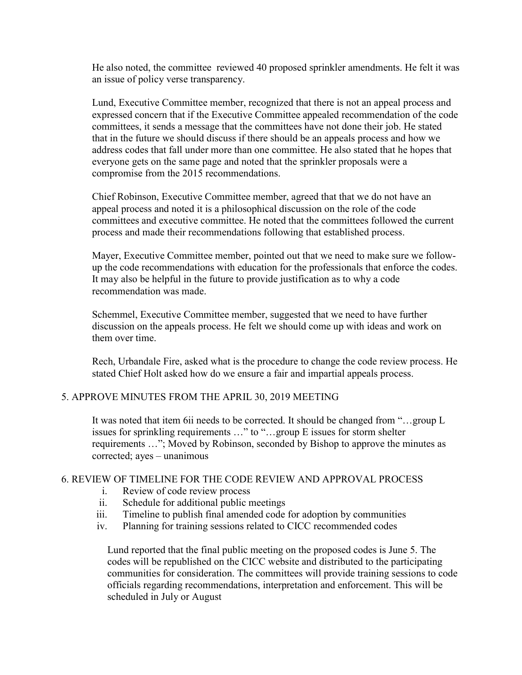He also noted, the committee reviewed 40 proposed sprinkler amendments. He felt it was an issue of policy verse transparency.

Lund, Executive Committee member, recognized that there is not an appeal process and expressed concern that if the Executive Committee appealed recommendation of the code committees, it sends a message that the committees have not done their job. He stated that in the future we should discuss if there should be an appeals process and how we address codes that fall under more than one committee. He also stated that he hopes that everyone gets on the same page and noted that the sprinkler proposals were a compromise from the 2015 recommendations.

Chief Robinson, Executive Committee member, agreed that that we do not have an appeal process and noted it is a philosophical discussion on the role of the code committees and executive committee. He noted that the committees followed the current process and made their recommendations following that established process.

Mayer, Executive Committee member, pointed out that we need to make sure we followup the code recommendations with education for the professionals that enforce the codes. It may also be helpful in the future to provide justification as to why a code recommendation was made.

Schemmel, Executive Committee member, suggested that we need to have further discussion on the appeals process. He felt we should come up with ideas and work on them over time.

Rech, Urbandale Fire, asked what is the procedure to change the code review process. He stated Chief Holt asked how do we ensure a fair and impartial appeals process.

## 5. APPROVE MINUTES FROM THE APRIL 30, 2019 MEETING

It was noted that item 6ii needs to be corrected. It should be changed from "…group L issues for sprinkling requirements …" to "…group E issues for storm shelter requirements …"; Moved by Robinson, seconded by Bishop to approve the minutes as corrected; ayes – unanimous

### 6. REVIEW OF TIMELINE FOR THE CODE REVIEW AND APPROVAL PROCESS

- i. Review of code review process
- ii. Schedule for additional public meetings
- iii. Timeline to publish final amended code for adoption by communities
- iv. Planning for training sessions related to CICC recommended codes

Lund reported that the final public meeting on the proposed codes is June 5. The codes will be republished on the CICC website and distributed to the participating communities for consideration. The committees will provide training sessions to code officials regarding recommendations, interpretation and enforcement. This will be scheduled in July or August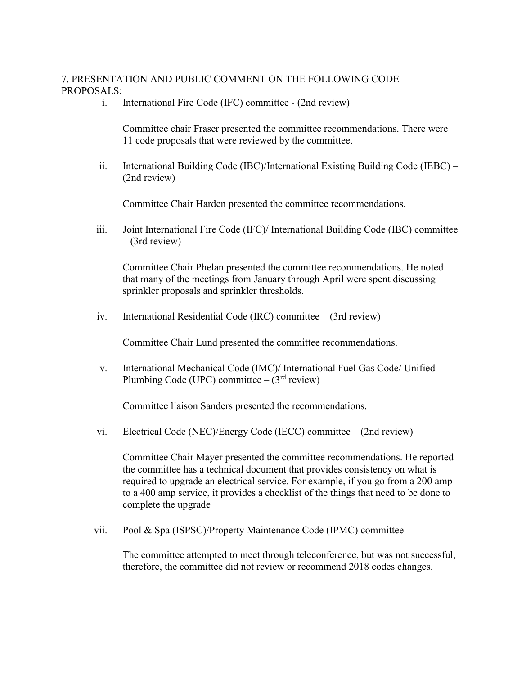# 7. PRESENTATION AND PUBLIC COMMENT ON THE FOLLOWING CODE PROPOSALS:

i. International Fire Code (IFC) committee - (2nd review)

Committee chair Fraser presented the committee recommendations. There were 11 code proposals that were reviewed by the committee.

ii. International Building Code (IBC)/International Existing Building Code (IEBC) – (2nd review)

Committee Chair Harden presented the committee recommendations.

iii. Joint International Fire Code (IFC)/ International Building Code (IBC) committee – (3rd review)

Committee Chair Phelan presented the committee recommendations. He noted that many of the meetings from January through April were spent discussing sprinkler proposals and sprinkler thresholds.

iv. International Residential Code (IRC) committee – (3rd review)

Committee Chair Lund presented the committee recommendations.

v. International Mechanical Code (IMC)/ International Fuel Gas Code/ Unified Plumbing Code (UPC) committee  $- (3<sup>rd</sup>$  review)

Committee liaison Sanders presented the recommendations.

vi. Electrical Code (NEC)/Energy Code (IECC) committee – (2nd review)

Committee Chair Mayer presented the committee recommendations. He reported the committee has a technical document that provides consistency on what is required to upgrade an electrical service. For example, if you go from a 200 amp to a 400 amp service, it provides a checklist of the things that need to be done to complete the upgrade

vii. Pool & Spa (ISPSC)/Property Maintenance Code (IPMC) committee

The committee attempted to meet through teleconference, but was not successful, therefore, the committee did not review or recommend 2018 codes changes.